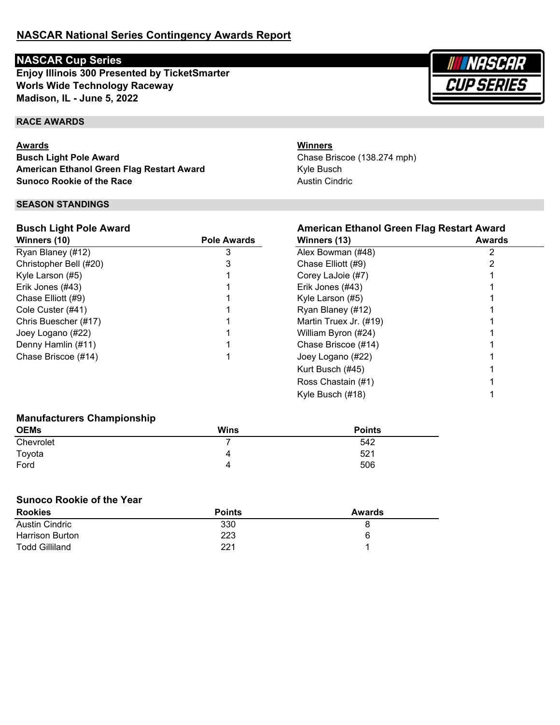# **NASCAR Cup Series**

**Worls Wide Technology Raceway Madison, IL - June 5, 2022 Enjoy Illinois 300 Presented by TicketSmarter**

# **RACE AWARDS**

## **Awards**

**Busch Light Pole Award American Ethanol Green Flag Restart Award Sunoco Rookie of the Race**

## **SEASON STANDINGS**

## **Busch Light Pole Award**

| Winners (10)           | <b>Pole Awards</b> | Winners (13)           | Awards |
|------------------------|--------------------|------------------------|--------|
| Ryan Blaney (#12)      |                    | Alex Bowman (#48)      |        |
| Christopher Bell (#20) |                    | Chase Elliott (#9)     |        |
| Kyle Larson (#5)       |                    | Corey LaJoie (#7)      |        |
| Erik Jones (#43)       |                    | Erik Jones (#43)       |        |
| Chase Elliott (#9)     |                    | Kyle Larson (#5)       |        |
| Cole Custer (#41)      |                    | Ryan Blaney (#12)      |        |
| Chris Buescher (#17)   |                    | Martin Truex Jr. (#19) |        |
| Joey Logano (#22)      |                    | William Byron (#24)    |        |
| Denny Hamlin (#11)     |                    | Chase Briscoe (#14)    |        |
| Chase Briscoe (#14)    |                    | Joey Logano (#22)      |        |
|                        |                    | Kurt Busch $(#45)$     |        |

## **Winners**

Kyle Busch Austin Cindric Chase Briscoe (138.274 mph)

| American Ethanol Green Flag Restart Award<br>Awards<br>Winners (13) |   |  |
|---------------------------------------------------------------------|---|--|
| Alex Bowman (#48)                                                   | 2 |  |
| Chase Elliott (#9)                                                  | 2 |  |
| Corey LaJoie (#7)                                                   |   |  |
| Erik Jones (#43)                                                    |   |  |
| Kyle Larson (#5)                                                    |   |  |
| Ryan Blaney (#12)                                                   |   |  |
| Martin Truex Jr. (#19)                                              |   |  |
| William Byron (#24)                                                 |   |  |
| Chase Briscoe (#14)                                                 |   |  |
| Joey Logano (#22)                                                   |   |  |
| Kurt Busch (#45)                                                    |   |  |
| Ross Chastain (#1)                                                  |   |  |
| Kyle Busch (#18)                                                    |   |  |

## **Manufacturers Championship**

| <b>OEMs</b> | <b>Wins</b> | <b>Points</b> |
|-------------|-------------|---------------|
| Chevrolet   |             | 542           |
| Toyota      | 4           | 521           |
| Ford        | 4           | 506           |

# **Sunoco Rookie of the Year**

| <b>Rookies</b>         | <b>Points</b> | Awards |
|------------------------|---------------|--------|
| <b>Austin Cindric</b>  | 330           |        |
| <b>Harrison Burton</b> | 223           | 6      |
| Todd Gilliland         | 221           |        |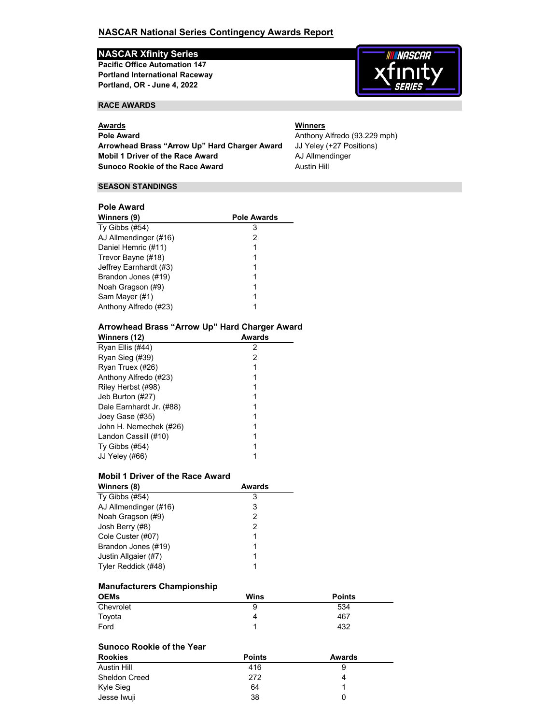## **NASCAR National Series Contingency Awards Report**

## **NASCAR Xfinity Series**

**Portland, OR - June 4, 2022 Pacific Office Automation 147 Portland International Raceway**

### **RACE AWARDS**

**Pole Award Anthony Alfredo** (93.229 mph) **Mobil 1 Driver of the Race Award** AJ Allmendinger<br> **Sunoco Rookie of the Race Award** Austin Hill **Sunoco Rookie of the Race Award Arrowhead Brass "Arrow Up" Hard Charger Award** JJ Yeley (+27 Positions)

## **Awards Winners**

**NASCAR** 

#### **SEASON STANDINGS**

## **Pole Award**

| Winners (9)            | <b>Pole Awards</b> |
|------------------------|--------------------|
| Ty Gibbs (#54)         | 3                  |
| AJ Allmendinger (#16)  | 2                  |
| Daniel Hemric (#11)    |                    |
| Trevor Bayne (#18)     |                    |
| Jeffrey Earnhardt (#3) |                    |
| Brandon Jones (#19)    |                    |
| Noah Gragson (#9)      |                    |
| Sam Mayer (#1)         |                    |
| Anthony Alfredo (#23)  |                    |

#### **Arrowhead Brass "Arrow Up" Hard Charger Award**

| Winners (12)             | Awards |
|--------------------------|--------|
| Ryan Ellis (#44)         | 2      |
| Ryan Sieg (#39)          | 2      |
| Ryan Truex (#26)         |        |
| Anthony Alfredo (#23)    |        |
| Riley Herbst (#98)       |        |
| Jeb Burton (#27)         |        |
| Dale Earnhardt Jr. (#88) |        |
| Joey Gase (#35)          |        |
| John H. Nemechek (#26)   |        |
| Landon Cassill (#10)     |        |
| Ty Gibbs $(\#54)$        |        |
| JJ Yeley (#66)           |        |

#### **Mobil 1 Driver of the Race Award**

| Winners (8)           | <b>Awards</b> |
|-----------------------|---------------|
| Ty Gibbs $(\#54)$     | З             |
| AJ Allmendinger (#16) | 3             |
| Noah Gragson (#9)     | 2             |
| Josh Berry (#8)       | 2             |
| Cole Custer (#07)     |               |
| Brandon Jones (#19)   |               |
| Justin Allgaier (#7)  |               |
| Tyler Reddick (#48)   |               |

#### **Manufacturers Championship**

| <b>OEMs</b> | Wins | <b>Points</b> |
|-------------|------|---------------|
| Chevrolet   | 9    | 534           |
| Toyota      | 4    | 467           |
| Ford        |      | 432           |

### **Sunoco Rookie of the Year**

| <b>Rookies</b> | <b>Points</b> | Awards |
|----------------|---------------|--------|
| Austin Hill    | 416           | 9      |
| Sheldon Creed  | 272           | 4      |
| Kyle Sieg      | 64            |        |
| Jesse Iwuji    | 38            | 0      |